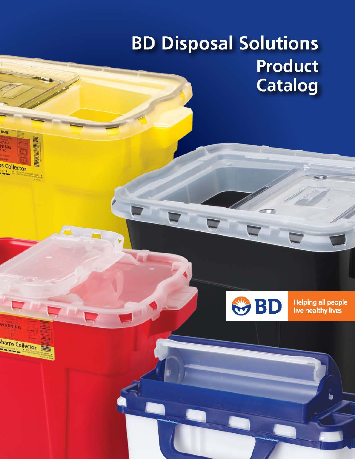# **BD Disposal Solutions Product Catalog**

8057367

**NING** 

**S Collector** 

WARNING

harps Collector

**HANGER AND ARTS** 

 $\frac{1}{2}$ 



ミ 万

**Helping all people** live healthy lives

ь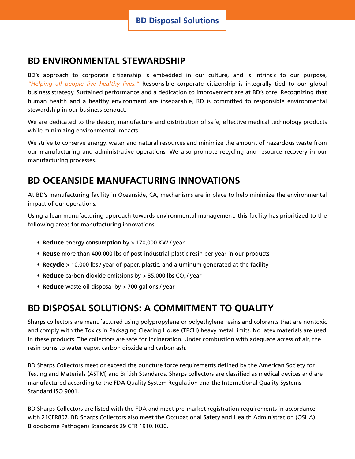## **BD ENVIRONMENTAL STEWARDSHIP**

BD's approach to corporate citizenship is embedded in our culture, and is intrinsic to our purpose, *"Helping all people live healthy lives."* Responsible corporate citizenship is integrally tied to our global business strategy. Sustained performance and a dedication to improvement are at BD's core. Recognizing that human health and a healthy environment are inseparable, BD is committed to responsible environmental stewardship in our business conduct.

We are dedicated to the design, manufacture and distribution of safe, effective medical technology products while minimizing environmental impacts.

We strive to conserve energy, water and natural resources and minimize the amount of hazardous waste from our manufacturing and administrative operations. We also promote recycling and resource recovery in our manufacturing processes.

# **BD OCEANSIDE MANUFACTURING INNOVATIONS**

At BD's manufacturing facility in Oceanside, CA, mechanisms are in place to help minimize the environmental impact of our operations.

Using a lean manufacturing approach towards environmental management, this facility has prioritized to the following areas for manufacturing innovations:

- Reduce energy consumption by > 170,000 KW / year
- **Reuse** more than 400,000 lbs of post-industrial plastic resin per year in our products
- Recycle > 10,000 lbs / year of paper, plastic, and aluminum generated at the facility
- Reduce carbon dioxide emissions by > 85,000 lbs CO<sub>2</sub>/ year
- Reduce waste oil disposal by > 700 gallons / year

# **BD DISPOSAL SOLUTIONS: A COMMITMENT TO QUALITY**

Sharps collectors are manufactured using polypropylene or polyethylene resins and colorants that are nontoxic and comply with the Toxics in Packaging Clearing House (TPCH) heavy metal limits. No latex materials are used in these products. The collectors are safe for incineration. Under combustion with adequate access of air, the resin burns to water vapor, carbon dioxide and carbon ash.

BD Sharps Collectors meet or exceed the puncture force requirements defined by the American Society for Testing and Materials (ASTM) and British Standards. Sharps collectors are classified as medical devices and are manufactured according to the FDA Quality System Regulation and the International Quality Systems Standard ISO 9001.

BD Sharps Collectors are listed with the FDA and meet pre-market registration requirements in accordance with 21CFR807. BD Sharps Collectors also meet the Occupational Safety and Health Administration (OSHA) Bloodborne Pathogens Standards 29 CFR 1910.1030.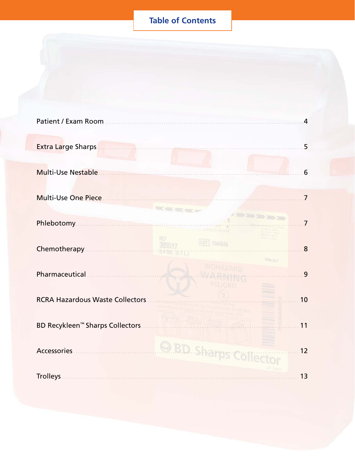# **Table of Contents**

| $\overline{4}$<br>5<br>6<br>$\overline{7}$<br><b>Cardon</b><br>$\overline{7}$<br>REF<br>LOT 7040636<br>Chemotherapy<br>Chemotherapy<br>8<br><b>FRULBLOY</b><br>9<br><b>RCRA Hazardous Waste Collectors</b><br>10<br>BD Recykleen <sup>™</sup> Sharps Collectors<br>11 |             |  |    |  |
|-----------------------------------------------------------------------------------------------------------------------------------------------------------------------------------------------------------------------------------------------------------------------|-------------|--|----|--|
|                                                                                                                                                                                                                                                                       |             |  |    |  |
|                                                                                                                                                                                                                                                                       |             |  |    |  |
|                                                                                                                                                                                                                                                                       |             |  |    |  |
|                                                                                                                                                                                                                                                                       |             |  |    |  |
|                                                                                                                                                                                                                                                                       |             |  |    |  |
|                                                                                                                                                                                                                                                                       |             |  |    |  |
|                                                                                                                                                                                                                                                                       |             |  |    |  |
|                                                                                                                                                                                                                                                                       |             |  |    |  |
|                                                                                                                                                                                                                                                                       |             |  |    |  |
|                                                                                                                                                                                                                                                                       |             |  |    |  |
|                                                                                                                                                                                                                                                                       |             |  |    |  |
|                                                                                                                                                                                                                                                                       |             |  |    |  |
|                                                                                                                                                                                                                                                                       |             |  |    |  |
|                                                                                                                                                                                                                                                                       |             |  |    |  |
|                                                                                                                                                                                                                                                                       |             |  |    |  |
|                                                                                                                                                                                                                                                                       |             |  |    |  |
|                                                                                                                                                                                                                                                                       |             |  |    |  |
|                                                                                                                                                                                                                                                                       |             |  |    |  |
|                                                                                                                                                                                                                                                                       |             |  |    |  |
|                                                                                                                                                                                                                                                                       |             |  |    |  |
|                                                                                                                                                                                                                                                                       |             |  |    |  |
|                                                                                                                                                                                                                                                                       | Accessories |  | 12 |  |
| <b>Trolleys</b><br>13                                                                                                                                                                                                                                                 |             |  |    |  |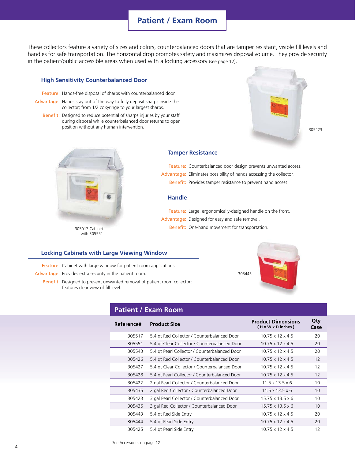## **Patient / Exam Room**

These collectors feature a variety of sizes and colors, counterbalanced doors that are tamper resistant, visible fill levels and handles for safe transportation. The horizontal drop promotes safety and maximizes disposal volume. They provide security in the patient/public accessible areas when used with a locking accessory (see page 12). .

#### **High Sensitivity Counterbalanced Door**

Feature: Hands-free disposal of sharps with counterbalanced door.

Advantage: Hands stay out of the way to fully deposit sharps inside the collector; from 1/2 cc syringe to your largest sharps.

Benefit: Designed to reduce potential of sharps injuries by your staff during disposal while counterbalanced door returns to open position without any human intervention.





305017 Cabinet with 305551

#### **Tamper Resistance**

Feature: Counterbalanced door design prevents unwanted access.

- Advantage: Eliminates possibility of hands accessing the collector.
- Benefit: Provides tamper resistance to prevent hand access.

#### **Handle**

Feature: Large, ergonomically-designed handle on the front.

- Advantage: Designed for easy and safe removal.
	- Benefit: One-hand movement for transportation.

#### **Locking Cabinets with Large Viewing Window**

Feature: Cabinet with large window for patient room applications.

Advantage: Provides extra security in the patient room.

Benefit: Designed to prevent unwanted removal of patient room collector; features clear view of fill level.

## **Patient / Exam Room**

| Reference# | <b>Product Size</b>                           | <b>Product Dimensions</b><br>(H x W x D inches) | Qty<br>Case |
|------------|-----------------------------------------------|-------------------------------------------------|-------------|
| 305517     | 5.4 gt Red Collector / Counterbalanced Door   | $10.75 \times 12 \times 4.5$                    | 20          |
| 305551     | 5.4 gt Clear Collector / Counterbalanced Door | $10.75 \times 12 \times 4.5$                    | 20          |
| 305543     | 5.4 gt Pearl Collector / Counterbalanced Door | $10.75 \times 12 \times 4.5$                    | 20          |
| 305426     | 5.4 gt Red Collector / Counterbalanced Door   | $10.75 \times 12 \times 4.5$                    | 12          |
| 305427     | 5.4 gt Clear Collector / Counterbalanced Door | $10.75 \times 12 \times 4.5$                    | 12          |
| 305428     | 5.4 gt Pearl Collector / Counterbalanced Door | $10.75 \times 12 \times 4.5$                    | 12          |
| 305422     | 2 gal Pearl Collector / Counterbalanced Door  | $11.5 \times 13.5 \times 6$                     | 10          |
| 305435     | 2 gal Red Collector / Counterbalanced Door    | $11.5 \times 13.5 \times 6$                     | 10          |
| 305423     | 3 gal Pearl Collector / Counterbalanced Door  | $15.75 \times 13.5 \times 6$                    | 10          |
| 305436     | 3 gal Red Collector / Counterbalanced Door    | $15.75 \times 13.5 \times 6$                    | 10          |
| 305443     | 5.4 gt Red Side Entry                         | $10.75 \times 12 \times 4.5$                    | 20          |
| 305444     | 5.4 gt Pearl Side Entry                       | $10.75 \times 12 \times 4.5$                    | 20          |
| 305425     | 5.4 gt Pearl Side Entry                       | $10.75 \times 12 \times 4.5$                    | 12          |



305443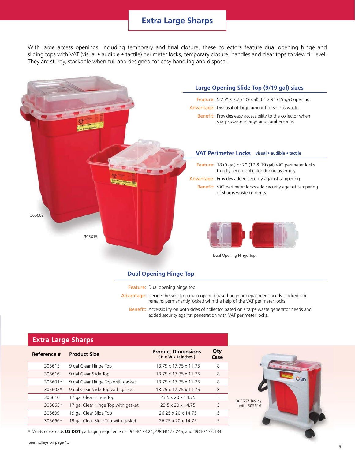## **Extra Large Sharps**

With large access openings, including temporary and final closure, these collectors feature dual opening hinge and sliding tops with VAT (visual • audible • tactile) perimeter locks, temporary closure, handles and clear tops to view fill level. They are sturdy, stackable when full and designed for easy handling and disposal.



Feature: Dual opening hinge top.

Advantage: Decide the side to remain opened based on your department needs. Locked side remains permanently locked with the help of the VAT perimeter locks.

Benefit: Accessibility on both sides of collector based on sharps waste generator needs and added security against penetration with VAT perimeter locks.

### **Extra Large Sharps**

| Reference # | <b>Product Size</b>                | <b>Product Dimensions</b><br>(H x W x D inches) | Qty<br>Case |                |
|-------------|------------------------------------|-------------------------------------------------|-------------|----------------|
| 305615      | 9 gal Clear Hinge Top              | 18.75 x 17.75 x 11.75                           | 8           |                |
| 305616      | 9 gal Clear Slide Top              | 18.75 x 17.75 x 11.75                           | 8           |                |
| 305601*     | 9 gal Clear Hinge Top with gasket  | 18.75 x 17.75 x 11.75                           | 8           |                |
| 305602*     | 9 gal Clear Slide Top with gasket  | 18.75 x 17.75 x 11.75                           | 8           |                |
| 305610      | 17 gal Clear Hinge Top             | 23.5 x 20 x 14.75                               | 5           | 305567 Trolley |
| 305665*     | 17 gal Clear Hinge Top with gasket | 23.5 x 20 x 14.75                               | 5           | with 305616    |
| 305609      | 19 gal Clear Slide Top             | 26.25 x 20 x 14.75                              | 5           |                |
| 305666*     | 19 gal Clear Slide Top with gasket | 26.25 x 20 x 14.75                              | 5           |                |

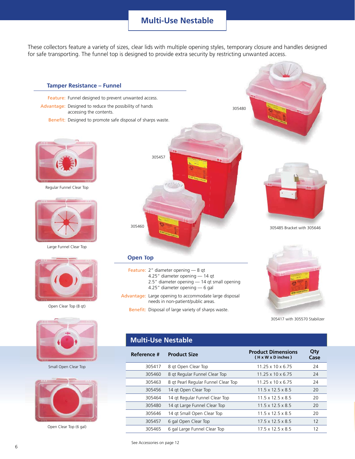## **Multi-Use Nestable**

These collectors feature a variety of sizes, clear lids with multiple opening styles, temporary closure and handles designed for safe transporting. The funnel top is designed to provide extra security by restricting unwanted access.



See Accessories on page 12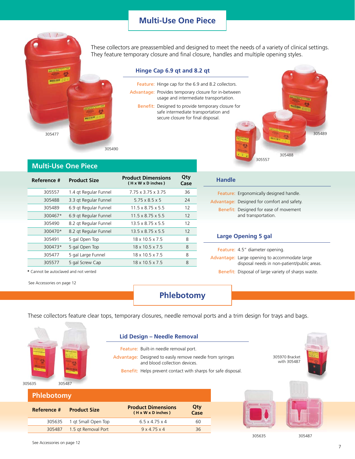## **Multi-Use One Piece**

These collectors are preassembled and designed to meet the needs of a variety of clinical settings. They feature temporary closure and final closure, handles and multiple opening styles.

#### **Hinge Cap 6.9 qt and 8.2 qt**

Feature: Hinge cap for the 6.9 and 8.2 collectors. Advantage: Provides temporary closure for in-between usage and intermediate transportation. Benefit: Designed to provide temporary closure for safe intermediate transportation and secure closure for final disposal.



**Multi-Use One Piece**

| Reference # | <b>Product Dimensions</b><br><b>Product Size</b><br>(H x W x D inches) |                               | Qty<br>Case |
|-------------|------------------------------------------------------------------------|-------------------------------|-------------|
| 305557      | 1.4 gt Regular Funnel                                                  | 7.75 x 3.75 x 3.75            | 36          |
| 305488      | 3.3 gt Regular Funnel                                                  | $5.75 \times 8.5 \times 5$    | 24          |
| 305489      | 6.9 gt Regular Funnel                                                  | $11.5 \times 8.75 \times 5.5$ | 12          |
| 300467*     | 6.9 qt Regular Funnel                                                  | $11.5 \times 8.75 \times 5.5$ | 12          |
| 305490      | 8.2 gt Regular Funnel                                                  | $13.5 \times 8.75 \times 5.5$ | 12          |
| 300470*     | 8.2 gt Regular Funnel                                                  | $13.5 \times 8.75 \times 5.5$ | 12          |
| 305491      | 5 gal Open Top                                                         | 18 x 10.5 x 7.5               | 8           |
| 300473*     | 5 gal Open Top                                                         | 18 x 10.5 x 7.5               | 8           |
| 305477      | 5 gal Large Funnel                                                     | 18 x 10.5 x 7.5               | 8           |
| 305577      | 5 gal Screw Cap                                                        | $18 \times 10.5 \times 7.5$   | 8           |

**Reference # Product Size Product Dimensions** 

305635 1 qt Small Open Top 6.5 x 4.75 x 4 60 305487 1.5 qt Removal Port 9 x 4.75 x 4 36

305490

| <b>Handle</b> |                                                               |
|---------------|---------------------------------------------------------------|
|               | Feature: Ergonomically designed handle.                       |
|               | Advantage: Designed for comfort and safety.                   |
|               | Benefit: Designed for ease of movement<br>and transportation. |
|               | <b>Large Opening 5 gal</b>                                    |
|               | Feature: 4.5" diameter opening.                               |

305557

305488

305489

Advantage: Large opening to accommodate large

Benefit: Disposal of large variety of sharps waste.

disposal needs in non-patient/public areas.

**\*** Cannot be autoclaved and not vented

See Accessories on page 12

## **Phlebotomy**

These collectors feature clear tops, temporary closures, needle removal ports and a trim design for trays and bags.

| 305635 | 305487 |
|--------|--------|

#### **Lid Design – Needle Removal**

**( H x W x D inches )**

- Feature: Built-in needle removal port. Advantage: Designed to easily remove needle from syringes and blood collection devices.
	- Benefit: Helps prevent contact with sharps for safe disposal.

**Qty Case** 305970 Bracket with 305487



305635 305487

**Phlebotomy**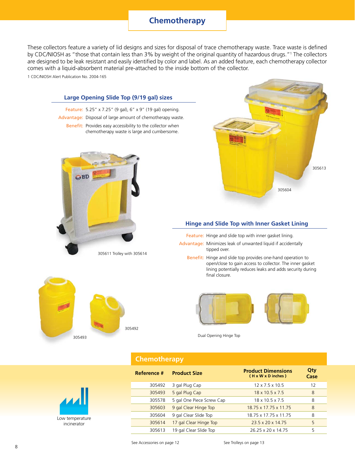## **Chemotherapy**

These collectors feature a variety of lid designs and sizes for disposal of trace chemotherapy waste. Trace waste is defined by CDC/NIOSH as "those that contain less than 3% by weight of the original quantity of hazardous drugs."<sup>1</sup> The collectors are designed to be leak resistant and easily identified by color and label. As an added feature, each chemotherapy collector comes with a liquid-absorbent material pre-attached to the inside bottom of the collector.

1 CDC/NIOSH Alert Publication No. 2004-165



Low temperature incinerator

| See Accessories on nage 12 |  |
|----------------------------|--|

305604 9 gal Clear Slide Top 18.75 x 17.75 x 11.75 8 305614 17 gal Clear Hinge Top 23.5 x 20 x 14.75 5 305613 19 gal Clear Slide Top 26.25 x 20 x 14.75 5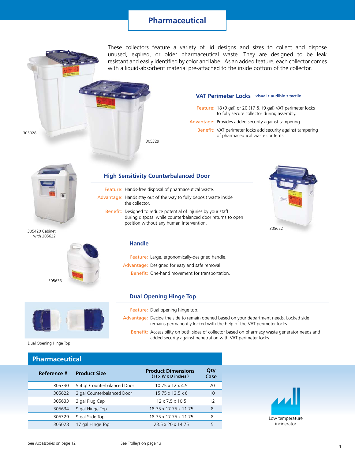## **Pharmaceutical**

These collectors feature a variety of lid designs and sizes to collect and dispose unused, expired, or older pharmaceutical waste. They are designed to be leak resistant and easily identified by color and label. As an added feature, each collector comes with a liquid-absorbent material pre-attached to the inside bottom of the collector.

## **VAT Perimeter Locks** visual · audible · tactile

- Feature: 18 (9 gal) or 20 (17 & 19 gal) VAT perimeter locks to fully secure collector during assembly.
- Advantage: Provides added security against tampering.
	- Benefit: VAT perimeter locks add security against tampering of pharmaceutical waste contents.



305420 Cabinet with 305622

305028



### **High Sensitivity Counterbalanced Door Co**

305329

Feature: Hands-free disposal of pharmaceutical waste.

- Advantage: Hands stay out of the way to fully deposit waste inside the collector.
	- Benefit: Designed to reduce potential of injuries by your staff during disposal while counterbalanced door returns to open position without any human intervention.



#### **Handle**

Feature: Large, ergonomically-designed handle.

Advantage: Designed for easy and safe removal.

Benefit: One-hand movement for transportation.

### **Dual Opening Hinge Top**



Feature: Dual opening hinge top.

- Advantage: Decide the side to remain opened based on your department needs. Locked side remains permanently locked with the help of the VAT perimeter locks.
	- Benefit: Accessibility on both sides of collector based on pharmacy waste generator needs and added security against penetration with VAT perimeter locks.

Dual Opening Hinge Top

#### **Pharmaceutical**

| Reference # | <b>Product Size</b>         | <b>Product Dimensions</b><br>(H x W x D inches) | Qty<br>Case |
|-------------|-----------------------------|-------------------------------------------------|-------------|
| 305330      | 5.4 gt Counterbalanced Door | $10.75 \times 12 \times 4.5$                    | 20          |
| 305622      | 3 gal Counterbalanced Door  | $15.75 \times 13.5 \times 6$                    | 10          |
| 305633      | 3 gal Plug Cap              | $12 \times 7.5 \times 10.5$                     | 12          |
| 305634      | 9 gal Hinge Top             | 18.75 x 17.75 x 11.75                           | 8           |
| 305329      | 9 gal Slide Top             | 18.75 x 17.75 x 11.75                           | 8           |
| 305028      | 17 gal Hinge Top            | 23.5 x 20 x 14.75                               | 5           |
|             |                             |                                                 |             |

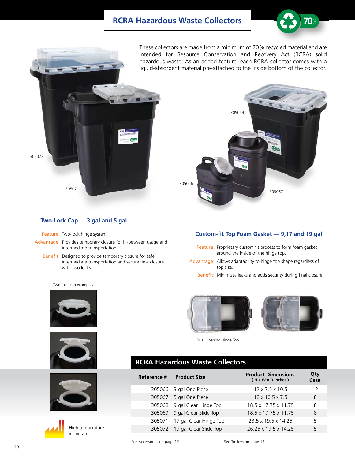## **RCRA Hazardous Waste Collectors**



These collectors are made from a minimum of 70% recycled material and are intended for Resource Conservation and Recovery Act (RCRA) solid hazardous waste. As an added feature, each RCRA collector comes with a liquid-absorbent material pre-attached to the inside bottom of the collector.

305069



#### **Two-Lock Cap — 3 gal and 5 gal**

Feature: Two-lock hinge system.

- Advantage: Provides temporary closure for in-between usage and intermediate transportation.
	- Benefit: Designed to provide temporary closure for safe intermediate transportation and secure final closure with two locks.

Two-lock cap examples









High temperature incinerator



305067

- Feature: Proprietary custom fit process to form foam gasket around the inside of the hinge top.
- Advantage: Allows adaptability to hinge top shape regardless of top size.

Benefit: Minimizes leaks and adds security during final closure.



Dual Opening Hinge Top

## **RCRA Hazardous Waste Collectors**

305066

| Reference # | <b>Product Size</b>          | <b>Product Dimensions</b><br>(H x W x D inches) | Qty<br>Case |
|-------------|------------------------------|-------------------------------------------------|-------------|
|             | 305066 3 gal One Piece       | $12 \times 7.5 \times 10.5$                     | 12          |
| 305067      | 5 gal One Piece              | $18 \times 10.5 \times 7.5$                     | 8           |
|             | 305068 9 gal Clear Hinge Top | 18.5 x 17.75 x 11.75                            | 8           |
|             | 305069 9 gal Clear Slide Top | 18 5 x 17 75 x 11 75                            | 8           |
| 305071      | 17 gal Clear Hinge Top       | 23.5 x 19.5 x 14.25                             | 5           |
| 305072      | 19 gal Clear Slide Top       | 26.25 x 19.5 x 14.25                            | 5           |

See Accessories on page 12 See Trolleys on page 13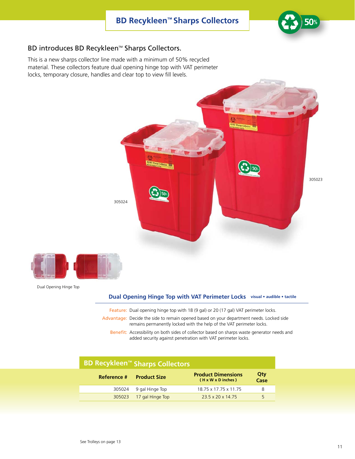

## BD introduces BD Recykleen™ Sharps Collectors.

This is a new sharps collector line made with a minimum of 50% recycled material. These collectors feature dual opening hinge top with VAT perimeter locks, temporary closure, handles and clear top to view fill levels.



#### **Dual Opening Hinge Top with VAT Perimeter Locks** visual • audible • tactile

- Feature: Dual opening hinge top with 18 (9 gal) or 20 (17 gal) VAT perimeter locks.
- Advantage: Decide the side to remain opened based on your department needs. Locked side remains permanently locked with the help of the VAT perimeter locks.
	- Benefit: Accessibility on both sides of collector based on sharps waste generator needs and added security against penetration with VAT perimeter locks.

# **BD Recykleen™ Sharps Collectors**

| Reference # | <b>Product Size</b>     | <b>Product Dimensions</b><br>(H x W x D inches) | Qty<br>Case |
|-------------|-------------------------|-------------------------------------------------|-------------|
|             | 305024 9 gal Hinge Top  | 18.75 x 17.75 x 11.75                           |             |
|             | 305023 17 gal Hinge Top | 23.5 x 20 x 14.75                               | 5           |

Dual Opening Hinge Top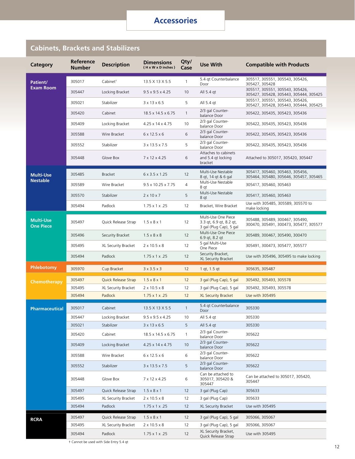## **Cabinets, Brackets and Stabilizers**

| Category                             | Reference<br><b>Number</b> | <b>Description</b>   | <b>Dimensions</b><br>(H x W x D inches) | Qty/<br>Case   | <b>Use With</b>                                                           | <b>Compatible with Products</b>                                           |
|--------------------------------------|----------------------------|----------------------|-----------------------------------------|----------------|---------------------------------------------------------------------------|---------------------------------------------------------------------------|
| Patient/                             | 305017                     | Cabinet <sup>+</sup> | 13.5 X 13 X 5.5                         | 1              | 5.4 gt Counterbalance<br>Door                                             | 305517, 305551, 305543, 305426,<br>305427, 305428                         |
| <b>Exam Room</b>                     | 305447                     | Locking Bracket      | $9.5 \times 9.5 \times 4.25$            | 10             | All 5.4 gt                                                                | 305517, 305551, 305543, 305426,<br>305427, 305428, 305443, 305444, 305425 |
|                                      | 305021                     | Stabilizer           | $3 \times 13 \times 6.5$                | 5              | All 5.4 gt                                                                | 305517, 305551, 305543, 305426,<br>305427, 305428, 305443, 305444, 305425 |
|                                      | 305420                     | Cabinet              | 18.5 x 14.5 x 6.75                      | $\mathbf{1}$   | 2/3 gal Counter-<br>balance Door                                          | 305422, 305435, 305423, 305436                                            |
|                                      | 305409                     | Locking Bracket      | 4.25 x 14 x 4.75                        | 10             | 2/3 gal Counter-<br>balance Door                                          | 305422, 305435, 305423, 305436                                            |
|                                      | 305588                     | Wire Bracket         | $6 \times 12.5 \times 6$                | 6              | 2/3 gal Counter-<br>balance Door                                          | 305422, 305435, 305423, 305436                                            |
|                                      | 305552                     | Stabilizer           | 3 x 13.5 x 7.5                          | 5              | 2/3 gal Counter-<br>balance Door                                          | 305422, 305435, 305423, 305436                                            |
|                                      | 305448                     | Glove Box            | 7 x 12 x 4.25                           | 6              | Attaches to cabinets<br>and 5.4 gt locking<br>bracket                     | Attached to 305017, 305420, 305447                                        |
| <b>Multi-Use</b>                     | 305485                     | <b>Bracket</b>       | $6 \times 3.5 \times 1.25$              | 12             | Multi-Use Nestable<br>8 gt, 14 gt & 6 gal                                 | 305417, 305460, 305463, 305456,<br>305464, 305480, 305646, 305457, 305465 |
| <b>Nestable</b>                      | 305589                     | Wire Bracket         | $9.5 \times 10.25 \times 7.75$          | 4              | Multi-Use Nestable<br>8 qt                                                | 305417, 305460, 305463                                                    |
|                                      | 305570                     | Stabilizer           | $2 \times 10 \times 7$                  | 5              | Multi-Use Nestable<br>8 qt                                                | 305417, 305460, 305463                                                    |
|                                      | 305494                     | Padlock              | $1.75 \times 1 \times .25$              | 12             | Bracket, Wire Bracket                                                     | Use with 305485, 305589, 305570 to<br>make locking                        |
| <b>Multi-Use</b><br><b>One Piece</b> | 305497                     | Quick Release Strap  | $1.5 \times 8 \times 1$                 | 12             | Multi-Use One Piece<br>3.3 gt, 6.9 gt, 8.2 gt,<br>3 gal (Plug Cap), 5 gal | 305488, 305489, 300467, 305490,<br>300470, 305491, 300473, 305477, 305577 |
|                                      | 305496                     | Security Bracket     | $1.5 \times 8 \times 8$                 | 12             | Multi-Use One Piece<br>6.9 qt, 8.2 qt                                     | 305489, 300467, 305490, 300470                                            |
|                                      | 305495                     | XL Security Bracket  | $2 \times 10.5 \times 8$                | 12             | 5 gal Multi-Use<br>One Piece                                              | 305491, 300473, 305477, 305577                                            |
|                                      | 305494                     | Padlock              | $1.75 \times 1 \times .25$              | 12             | Security Bracket,<br>XL Security Bracket                                  | Use with 305496, 305495 to make locking                                   |
| Phlebotomy                           | 305970                     | Cup Bracket          | $3 \times 3.5 \times 3$                 | 12             | 1 gt, 1.5 gt                                                              | 305635, 305487                                                            |
| Chemotherapy                         | 305497                     | Quick Release Strap  | $1.5 \times 8 \times 1$                 | 12             | 3 gal (Plug Cap), 5 gal                                                   | 305492, 305493, 305578                                                    |
|                                      | 305495                     | XL Security Bracket  | $2 \times 10.5 \times 8$                | 12             | 3 gal (Plug Cap), 5 gal                                                   | 305492, 305493, 305578                                                    |
|                                      | 305494                     | Padlock              | $1.75 \times 1 \times .25$              | 12             | <b>XL Security Bracket</b>                                                | Use with 305495                                                           |
| <b>Pharmaceutical</b>                | 305017                     | Cabinet              | 13.5 X 13 X 5.5                         | $\overline{1}$ | 5.4 qt Counterbalance<br>Door                                             | 305330                                                                    |
|                                      | 305447                     | Locking Bracket      | $9.5 \times 9.5 \times 4.25$            | 10             | All 5.4 qt                                                                | 305330                                                                    |
|                                      | 305021                     | Stabilizer           | $3 \times 13 \times 6.5$                | 5              | All 5.4 gt<br>2/3 gal Counter-                                            | 305330                                                                    |
|                                      | 305420                     | Cabinet              | 18.5 x 14.5 x 6.75                      | $\mathbf{1}$   | balance Door                                                              | 305622                                                                    |
|                                      | 305409                     | Locking Bracket      | 4.25 x 14 x 4.75                        | 10             | 2/3 gal Counter-<br>balance Door                                          | 305622                                                                    |
|                                      | 305588                     | Wire Bracket         | $6 \times 12.5 \times 6$                | 6              | 2/3 gal Counter-<br>balance Door<br>2/3 gal Counter-                      | 305622                                                                    |
|                                      | 305552                     | Stabilizer           | 3 x 13.5 x 7.5                          | 5              | balance Door<br>Can be attached to                                        | 305622                                                                    |
|                                      | 305448                     | Glove Box            | 7 x 12 x 4.25                           | 6              | 305017, 305420 &<br>305447                                                | Can be attached to 305017, 305420,<br>305447                              |
|                                      | 305497                     | Quick Release Strap  | $1.5 \times 8 \times 1$                 | 12             | 3 gal (Plug Cap)                                                          | 305633                                                                    |
|                                      | 305495                     | XL Security Bracket  | $2 \times 10.5 \times 8$                | 12             | 3 gal (Plug Cap)                                                          | 305633                                                                    |
|                                      | 305494                     | Padlock              | $1.75 \times 1 \times .25$              | 12             | XL Security Bracket                                                       | Use with 305495                                                           |
| <b>RCRA</b>                          | 305497                     | Quick Release Strap  | $1.5 \times 8 \times 1$                 | 12             | 3 gal (Plug Cap), 5 gal                                                   | 305066, 305067                                                            |
|                                      | 305495                     | XL Security Bracket  | $2 \times 10.5 \times 8$                | 12             | 3 gal (Plug Cap), 5 gal                                                   | 305066, 305067                                                            |
|                                      | 305494                     | Padlock              | $1.75 \times 1 \times .25$              | 12             | XL Security Bracket,<br>Quick Release Strap                               | Use with 305495                                                           |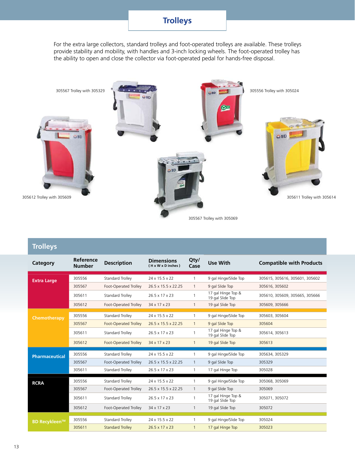# **Trolleys**

For the extra large collectors, standard trolleys and foot-operated trolleys are available. These trolleys provide stability and mobility, with handles and 3-inch locking wheels. The foot-operated trolley has the ability to open and close the collector via foot-operated pedal for hands-free disposal.



**Trolleys**

| Category              | Reference<br><b>Number</b> | <b>Description</b>           | <b>Dimensions</b><br>(H x W x D inches) | Qty/<br>Case | Use With                               | <b>Compatible with Products</b> |
|-----------------------|----------------------------|------------------------------|-----------------------------------------|--------------|----------------------------------------|---------------------------------|
| <b>Extra Large</b>    | 305556                     | <b>Standard Trolley</b>      | 24 x 15.5 x 22                          | $\mathbf{1}$ | 9 gal Hinge/Slide Top                  | 305615, 305616, 305601, 305602  |
|                       | 305567                     | Foot-Operated Trolley        | 26.5 x 15.5 x 22.25                     | $\mathbf{1}$ | 9 gal Slide Top                        | 305616, 305602                  |
|                       | 305611                     | Standard Trolley             | 26.5 x 17 x 23                          | $\mathbf{1}$ | 17 gal Hinge Top &<br>19 gal Slide Top | 305610, 305609, 305665, 305666  |
|                       | 305612                     | Foot-Operated Trolley        | 34 x 17 x 23                            | $\mathbf{1}$ | 19 gal Slide Top                       | 305609, 305666                  |
| Chemotherapy          | 305556                     | Standard Trolley             | 24 x 15.5 x 22                          | $\mathbf{1}$ | 9 gal Hinge/Slide Top                  | 305603, 305604                  |
|                       | 305567                     | <b>Foot-Operated Trolley</b> | 26.5 x 15.5 x 22.25                     | $\mathbf{1}$ | 9 gal Slide Top                        | 305604                          |
|                       | 305611                     | Standard Trolley             | 26.5 x 17 x 23                          | $\mathbf{1}$ | 17 gal Hinge Top &<br>19 gal Slide Top | 305614, 305613                  |
|                       | 305612                     | <b>Foot-Operated Trolley</b> | 34 x 17 x 23                            | $\mathbf{1}$ | 19 gal Slide Top                       | 305613                          |
|                       | 305556                     | Standard Trolley             | 24 x 15.5 x 22                          | 1            | 9 gal Hinge/Slide Top                  | 305634, 305329                  |
| <b>Pharmaceutical</b> | 305567                     | Foot-Operated Trolley        | 26.5 x 15.5 x 22.25                     | $\mathbf{1}$ | 9 gal Slide Top                        | 305329                          |
|                       | 305611                     | <b>Standard Trolley</b>      | 26.5 x 17 x 23                          | $\mathbf{1}$ | 17 gal Hinge Top                       | 305028                          |
|                       |                            |                              |                                         |              |                                        |                                 |
| <b>RCRA</b>           | 305556                     | Standard Trolley             | 24 x 15.5 x 22                          | 1            | 9 gal Hinge/Slide Top                  | 305068, 305069                  |
|                       | 305567                     | Foot-Operated Trolley        | 26.5 x 15.5 x 22.25                     | $\mathbf{1}$ | 9 gal Slide Top                        | 305069                          |
|                       | 305611                     | Standard Trolley             | 26.5 x 17 x 23                          | $\mathbf{1}$ | 17 gal Hinge Top &<br>19 gal Slide Top | 305071, 305072                  |
|                       | 305612                     | Foot-Operated Trolley        | 34 x 17 x 23                            | $\mathbf{1}$ | 19 gal Slide Top                       | 305072                          |
|                       | 305556                     | <b>Standard Trolley</b>      | 24 x 15.5 x 22                          | 1            | 9 gal Hinge/Slide Top                  | 305024                          |
| <b>BD Recykleen™</b>  | 305611                     | <b>Standard Trolley</b>      | 26.5 x 17 x 23                          | $\mathbf{1}$ | 17 gal Hinge Top                       | 305023                          |